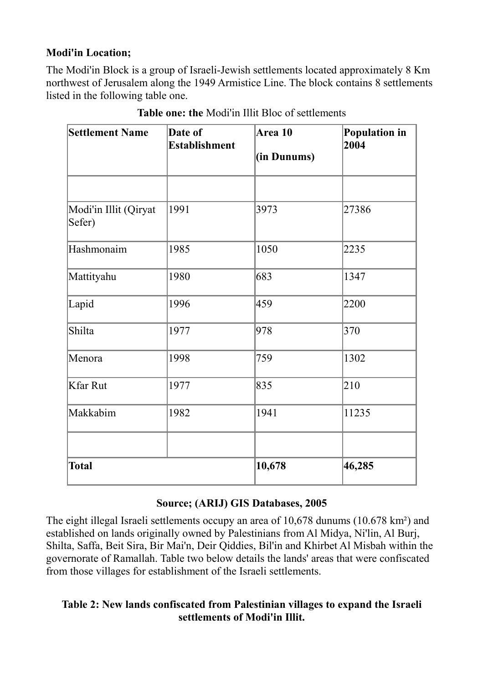## **Modi'in Location;**

The Modi'in Block is a group of Israeli-Jewish settlements located approximately 8 Km northwest of Jerusalem along the 1949 Armistice Line. The block contains 8 settlements listed in the following table one.

| <b>Settlement Name</b>          | Date of<br><b>Establishment</b> | Area 10<br>(in Dunums) | <b>Population in</b><br>2004 |
|---------------------------------|---------------------------------|------------------------|------------------------------|
|                                 |                                 |                        |                              |
| Modi'in Illit (Qiryat<br>Sefer) | 1991                            | 3973                   | 27386                        |
| Hashmonaim                      | 1985                            | 1050                   | 2235                         |
| Mattityahu                      | 1980                            | 683                    | 1347                         |
| Lapid                           | 1996                            | 459                    | 2200                         |
| Shilta                          | 1977                            | 978                    | 370                          |
| Menora                          | 1998                            | 759                    | 1302                         |
| Kfar Rut                        | 1977                            | 835                    | 210                          |
| Makkabim                        | 1982                            | 1941                   | 11235                        |
|                                 |                                 |                        |                              |
| Total                           |                                 | 10,678                 | 46,285                       |

**Table one: the** Modi'in Illit Bloc of settlements

## **Source; (ARIJ) GIS Databases, 2005**

The eight illegal Israeli settlements occupy an area of 10,678 dunums (10.678 km²) and established on lands originally owned by Palestinians from Al Midya, Ni'lin, Al Burj, Shilta, Saffa, Beit Sira, Bir Mai'n, Deir Qiddies, Bil'in and Khirbet Al Misbah within the governorate of Ramallah. Table two below details the lands' areas that were confiscated from those villages for establishment of the Israeli settlements.

## **Table 2: New lands confiscated from Palestinian villages to expand the Israeli settlements of Modi'in Illit.**